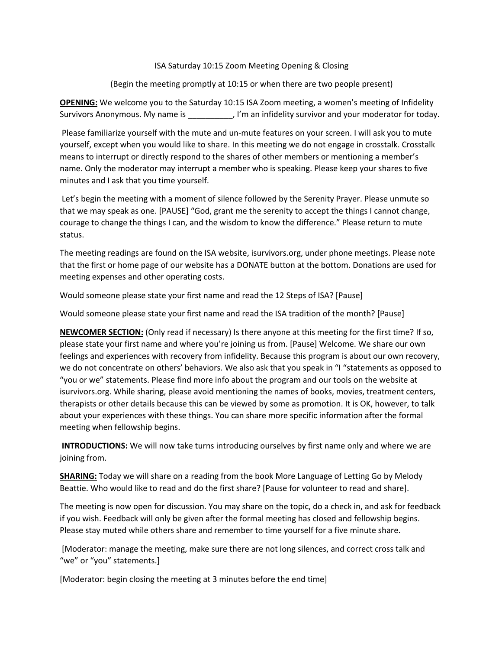## ISA Saturday 10:15 Zoom Meeting Opening & Closing

(Begin the meeting promptly at 10:15 or when there are two people present)

**OPENING:** We welcome you to the Saturday 10:15 ISA Zoom meeting, a women's meeting of Infidelity Survivors Anonymous. My name is \_\_\_\_\_\_\_\_\_\_, I'm an infidelity survivor and your moderator for today.

Please familiarize yourself with the mute and un-mute features on your screen. I will ask you to mute yourself, except when you would like to share. In this meeting we do not engage in crosstalk. Crosstalk means to interrupt or directly respond to the shares of other members or mentioning a member's name. Only the moderator may interrupt a member who is speaking. Please keep your shares to five minutes and I ask that you time yourself.

Let's begin the meeting with a moment of silence followed by the Serenity Prayer. Please unmute so that we may speak as one. [PAUSE] "God, grant me the serenity to accept the things I cannot change, courage to change the things I can, and the wisdom to know the difference." Please return to mute status.

The meeting readings are found on the ISA website, isurvivors.org, under phone meetings. Please note that the first or home page of our website has a DONATE button at the bottom. Donations are used for meeting expenses and other operating costs.

Would someone please state your first name and read the 12 Steps of ISA? [Pause]

Would someone please state your first name and read the ISA tradition of the month? [Pause]

**NEWCOMER SECTION:** (Only read if necessary) Is there anyone at this meeting for the first time? If so, please state your first name and where you're joining us from. [Pause] Welcome. We share our own feelings and experiences with recovery from infidelity. Because this program is about our own recovery, we do not concentrate on others' behaviors. We also ask that you speak in "I "statements as opposed to "you or we" statements. Please find more info about the program and our tools on the website at isurvivors.org. While sharing, please avoid mentioning the names of books, movies, treatment centers, therapists or other details because this can be viewed by some as promotion. It is OK, however, to talk about your experiences with these things. You can share more specific information after the formal meeting when fellowship begins.

**INTRODUCTIONS:** We will now take turns introducing ourselves by first name only and where we are joining from.

**SHARING:** Today we will share on a reading from the book More Language of Letting Go by Melody Beattie. Who would like to read and do the first share? [Pause for volunteer to read and share].

The meeting is now open for discussion. You may share on the topic, do a check in, and ask for feedback if you wish. Feedback will only be given after the formal meeting has closed and fellowship begins. Please stay muted while others share and remember to time yourself for a five minute share.

[Moderator: manage the meeting, make sure there are not long silences, and correct cross talk and "we" or "you" statements.]

[Moderator: begin closing the meeting at 3 minutes before the end time]